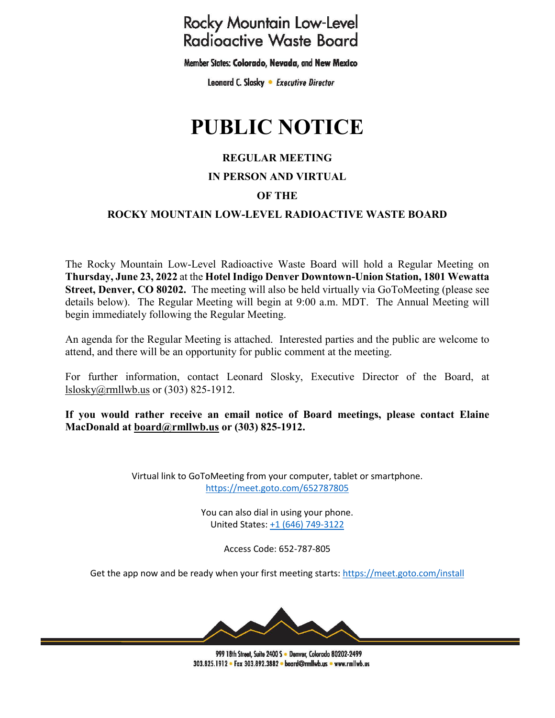## **Rocky Mountain Low-Level Radioactive Waste Board**

Member States: Colorado, Nevada, and New Mexico

Leonard C. Slosky . Executive Director

# **PUBLIC NOTICE**

#### **REGULAR MEETING**

#### **IN PERSON AND VIRTUAL**

#### **OF THE**

#### **ROCKY MOUNTAIN LOW-LEVEL RADIOACTIVE WASTE BOARD**

The Rocky Mountain Low-Level Radioactive Waste Board will hold a Regular Meeting on **Thursday, June 23, 2022** at the **Hotel Indigo Denver Downtown-Union Station, 1801 Wewatta Street, Denver, CO 80202.** The meeting will also be held virtually via GoToMeeting (please see details below). The Regular Meeting will begin at 9:00 a.m. MDT. The Annual Meeting will begin immediately following the Regular Meeting.

An agenda for the Regular Meeting is attached. Interested parties and the public are welcome to attend, and there will be an opportunity for public comment at the meeting.

For further information, contact Leonard Slosky, Executive Director of the Board, at [lslosky@rmllwb.us](mailto:lslosky@rmllwb.us) or (303) 825-1912.

**If you would rather receive an email notice of Board meetings, please contact Elaine MacDonald at [board@rmllwb.us](mailto:board@rmllwb.us) or (303) 825-1912.**

> Virtual link to GoToMeeting from your computer, tablet or smartphone. <https://meet.goto.com/652787805>

> > You can also dial in using your phone. United States: [+1 \(646\) 749-3122](tel:+16467493122,,652787805)

> > > Access Code: 652-787-805

Get the app now and be ready when your first meeting starts:<https://meet.goto.com/install>



999 18th Street, Suite 2400 S . Denver, Colorado 80202-2499 303.825.1912 • Fax 303.892.3882 • board@rmllwb.us • www.rmllwb.us